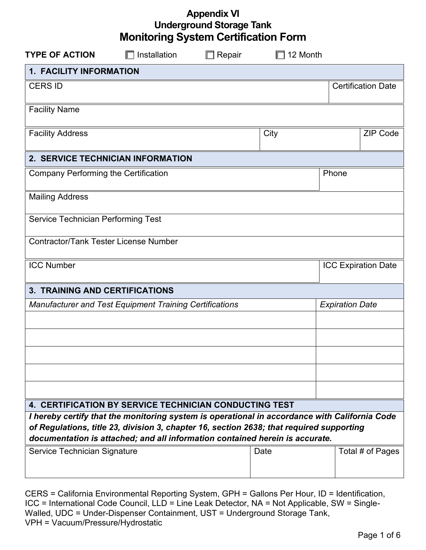| <b>Appendix VI</b>                          |  |
|---------------------------------------------|--|
| <b>Underground Storage Tank</b>             |  |
| <b>Monitoring System Certification Form</b> |  |

| <b>TYPE OF ACTION</b><br>Installation<br>Repair                                                                                                                                           | 12 Month |                            |  |  |  |
|-------------------------------------------------------------------------------------------------------------------------------------------------------------------------------------------|----------|----------------------------|--|--|--|
| <b>1. FACILITY INFORMATION</b>                                                                                                                                                            |          |                            |  |  |  |
| <b>CERS ID</b>                                                                                                                                                                            |          | <b>Certification Date</b>  |  |  |  |
|                                                                                                                                                                                           |          |                            |  |  |  |
| <b>Facility Name</b>                                                                                                                                                                      |          |                            |  |  |  |
| <b>Facility Address</b>                                                                                                                                                                   | City     | <b>ZIP Code</b>            |  |  |  |
| 2. SERVICE TECHNICIAN INFORMATION                                                                                                                                                         |          |                            |  |  |  |
| <b>Company Performing the Certification</b>                                                                                                                                               |          | Phone                      |  |  |  |
| <b>Mailing Address</b>                                                                                                                                                                    |          |                            |  |  |  |
| Service Technician Performing Test                                                                                                                                                        |          |                            |  |  |  |
| <b>Contractor/Tank Tester License Number</b>                                                                                                                                              |          |                            |  |  |  |
| <b>ICC Number</b>                                                                                                                                                                         |          | <b>ICC Expiration Date</b> |  |  |  |
| <b>3. TRAINING AND CERTIFICATIONS</b>                                                                                                                                                     |          |                            |  |  |  |
| Manufacturer and Test Equipment Training Certifications                                                                                                                                   |          | <b>Expiration Date</b>     |  |  |  |
|                                                                                                                                                                                           |          |                            |  |  |  |
|                                                                                                                                                                                           |          |                            |  |  |  |
|                                                                                                                                                                                           |          |                            |  |  |  |
|                                                                                                                                                                                           |          |                            |  |  |  |
|                                                                                                                                                                                           |          |                            |  |  |  |
| <b>4. CERTIFICATION BY SERVICE TECHNICIAN CONDUCTING TEST</b>                                                                                                                             |          |                            |  |  |  |
| I hereby certify that the monitoring system is operational in accordance with California Code<br>of Regulations, title 23, division 3, chapter 16, section 2638; that required supporting |          |                            |  |  |  |
| documentation is attached; and all information contained herein is accurate.                                                                                                              |          |                            |  |  |  |
| Service Technician Signature                                                                                                                                                              | Date     | Total # of Pages           |  |  |  |
|                                                                                                                                                                                           |          |                            |  |  |  |

CERS = California Environmental Reporting System, GPH = Gallons Per Hour, ID = Identification, ICC = International Code Council, LLD = Line Leak Detector, NA = Not Applicable, SW = Single-Walled, UDC = Under-Dispenser Containment, UST = Underground Storage Tank, VPH = Vacuum/Pressure/Hydrostatic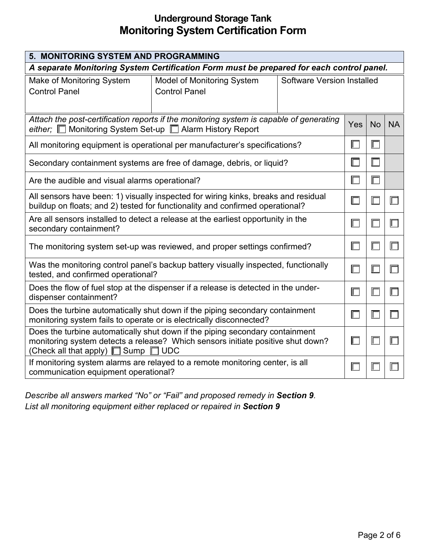| 5. MONITORING SYSTEM AND PROGRAMMING                                                                                                                                                                             |                                                                            |                                   |        |        |           |
|------------------------------------------------------------------------------------------------------------------------------------------------------------------------------------------------------------------|----------------------------------------------------------------------------|-----------------------------------|--------|--------|-----------|
| A separate Monitoring System Certification Form must be prepared for each control panel.                                                                                                                         |                                                                            |                                   |        |        |           |
| Make of Monitoring System                                                                                                                                                                                        | <b>Model of Monitoring System</b>                                          | <b>Software Version Installed</b> |        |        |           |
| <b>Control Panel</b>                                                                                                                                                                                             | <b>Control Panel</b>                                                       |                                   |        |        |           |
|                                                                                                                                                                                                                  |                                                                            |                                   |        |        |           |
| Attach the post-certification reports if the monitoring system is capable of generating<br>either; □ Monitoring System Set-up □ Alarm History Report                                                             |                                                                            |                                   |        |        | <b>NA</b> |
|                                                                                                                                                                                                                  | All monitoring equipment is operational per manufacturer's specifications? |                                   |        | Г      |           |
|                                                                                                                                                                                                                  | Secondary containment systems are free of damage, debris, or liquid?       |                                   | $\Box$ | Е      |           |
| Are the audible and visual alarms operational?                                                                                                                                                                   |                                                                            |                                   |        | $\Box$ |           |
| All sensors have been: 1) visually inspected for wiring kinks, breaks and residual<br>buildup on floats; and 2) tested for functionality and confirmed operational?                                              |                                                                            |                                   |        | $\Box$ | $\Box$    |
| Are all sensors installed to detect a release at the earliest opportunity in the<br>secondary containment?                                                                                                       |                                                                            |                                   |        |        |           |
| The monitoring system set-up was reviewed, and proper settings confirmed?                                                                                                                                        |                                                                            |                                   |        |        |           |
| Was the monitoring control panel's backup battery visually inspected, functionally<br>tested, and confirmed operational?                                                                                         |                                                                            |                                   |        |        | ℾ         |
| Does the flow of fuel stop at the dispenser if a release is detected in the under-<br>dispenser containment?                                                                                                     |                                                                            |                                   |        | $\Box$ |           |
| Does the turbine automatically shut down if the piping secondary containment<br>monitoring system fails to operate or is electrically disconnected?                                                              |                                                                            |                                   |        |        |           |
| Does the turbine automatically shut down if the piping secondary containment<br>monitoring system detects a release? Which sensors initiate positive shut down?<br>(Check all that apply) $\Box$ Sump $\Box$ UDC |                                                                            |                                   |        |        |           |
| If monitoring system alarms are relayed to a remote monitoring center, is all<br>communication equipment operational?                                                                                            |                                                                            |                                   |        |        |           |

*Describe all answers marked "No" or "Fail" and proposed remedy in Section 9. List all monitoring equipment either replaced or repaired in Section 9*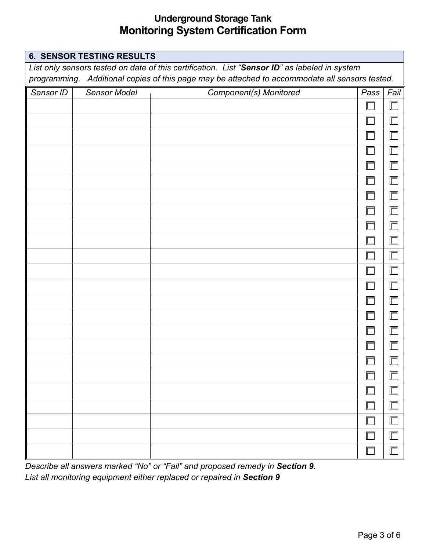| <b>6. SENSOR TESTING RESULTS</b>                                                              |              |                                                                                                |        |      |  |  |
|-----------------------------------------------------------------------------------------------|--------------|------------------------------------------------------------------------------------------------|--------|------|--|--|
| List only sensors tested on date of this certification. List "Sensor ID" as labeled in system |              |                                                                                                |        |      |  |  |
|                                                                                               |              | programming. Additional copies of this page may be attached to accommodate all sensors tested. |        |      |  |  |
| Sensor ID                                                                                     | Sensor Model | Component(s) Monitored                                                                         | Pass   | Fail |  |  |
|                                                                                               |              |                                                                                                | $\Box$ |      |  |  |
|                                                                                               |              |                                                                                                | ℾ      |      |  |  |
|                                                                                               |              |                                                                                                | $\Box$ | ┏    |  |  |
|                                                                                               |              |                                                                                                | Γ      |      |  |  |
|                                                                                               |              |                                                                                                | $\Box$ |      |  |  |
|                                                                                               |              |                                                                                                | Γ      |      |  |  |
|                                                                                               |              |                                                                                                | $\Box$ | ╓    |  |  |
|                                                                                               |              |                                                                                                | $\Box$ | ╔    |  |  |
|                                                                                               |              |                                                                                                | Г      |      |  |  |
|                                                                                               |              |                                                                                                | Г      |      |  |  |
|                                                                                               |              |                                                                                                | Г      |      |  |  |
|                                                                                               |              |                                                                                                | Γ      |      |  |  |
|                                                                                               |              |                                                                                                | $\Box$ |      |  |  |
|                                                                                               |              |                                                                                                | Γ      |      |  |  |
|                                                                                               |              |                                                                                                | $\Box$ |      |  |  |
|                                                                                               |              |                                                                                                | Γ      |      |  |  |
|                                                                                               |              |                                                                                                | $\Box$ |      |  |  |
|                                                                                               |              |                                                                                                | $\Box$ | 1    |  |  |
|                                                                                               |              |                                                                                                | Γ      |      |  |  |
|                                                                                               |              |                                                                                                | Γ      |      |  |  |
|                                                                                               |              |                                                                                                |        |      |  |  |
|                                                                                               |              |                                                                                                | Γ      |      |  |  |
|                                                                                               |              |                                                                                                | $\Box$ | ┏    |  |  |
|                                                                                               |              |                                                                                                | Г      |      |  |  |

*Describe all answers marked "No" or "Fail" and proposed remedy in Section 9. List all monitoring equipment either replaced or repaired in Section 9*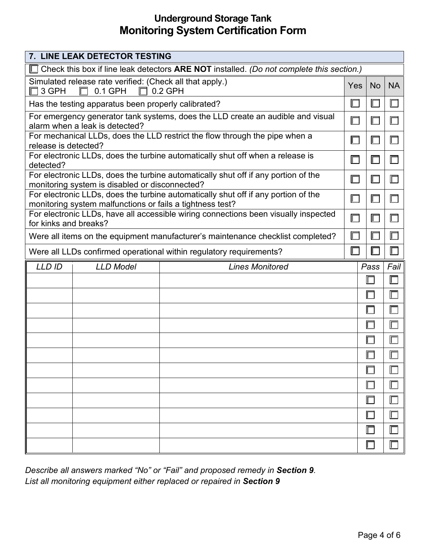|                                                                                                                                                 | 7. LINE LEAK DETECTOR TESTING |                                                                     |  |           |                |
|-------------------------------------------------------------------------------------------------------------------------------------------------|-------------------------------|---------------------------------------------------------------------|--|-----------|----------------|
| Check this box if line leak detectors ARE NOT installed. (Do not complete this section.)                                                        |                               |                                                                     |  |           |                |
| Simulated release rate verified: (Check all that apply.)<br><b>Yes</b><br>$0.2$ GPH<br>3 GPH<br>$0.1$ GPH<br>$\Box$<br>╓                        |                               |                                                                     |  | <b>No</b> | <b>NA</b>      |
| Has the testing apparatus been properly calibrated?                                                                                             |                               |                                                                     |  |           |                |
| For emergency generator tank systems, does the LLD create an audible and visual<br>alarm when a leak is detected?                               |                               |                                                                     |  | $\Box$    |                |
| For mechanical LLDs, does the LLD restrict the flow through the pipe when a<br>release is detected?                                             |                               |                                                                     |  | ℾ         |                |
| For electronic LLDs, does the turbine automatically shut off when a release is<br>detected?                                                     |                               |                                                                     |  |           |                |
| For electronic LLDs, does the turbine automatically shut off if any portion of the<br>monitoring system is disabled or disconnected?            |                               |                                                                     |  |           | Ш              |
| For electronic LLDs, does the turbine automatically shut off if any portion of the<br>monitoring system malfunctions or fails a tightness test? |                               |                                                                     |  | ⊏         |                |
| For electronic LLDs, have all accessible wiring connections been visually inspected<br>for kinks and breaks?                                    |                               |                                                                     |  |           |                |
| Were all items on the equipment manufacturer's maintenance checklist completed?                                                                 |                               |                                                                     |  |           | $\blacksquare$ |
|                                                                                                                                                 |                               | Were all LLDs confirmed operational within regulatory requirements? |  |           |                |
| <b>LLD ID</b><br><b>LLD Model</b><br><b>Lines Monitored</b>                                                                                     |                               | Pass                                                                |  | Fail      |                |
|                                                                                                                                                 |                               |                                                                     |  |           |                |
|                                                                                                                                                 |                               |                                                                     |  |           |                |
|                                                                                                                                                 |                               |                                                                     |  |           |                |
|                                                                                                                                                 |                               |                                                                     |  |           |                |
|                                                                                                                                                 |                               |                                                                     |  |           |                |
|                                                                                                                                                 |                               |                                                                     |  |           |                |
|                                                                                                                                                 |                               |                                                                     |  |           |                |
|                                                                                                                                                 |                               |                                                                     |  |           |                |
|                                                                                                                                                 |                               |                                                                     |  |           |                |
|                                                                                                                                                 |                               |                                                                     |  |           |                |
|                                                                                                                                                 |                               |                                                                     |  |           |                |
|                                                                                                                                                 |                               |                                                                     |  |           |                |

*Describe all answers marked "No" or "Fail" and proposed remedy in Section 9. List all monitoring equipment either replaced or repaired in Section 9*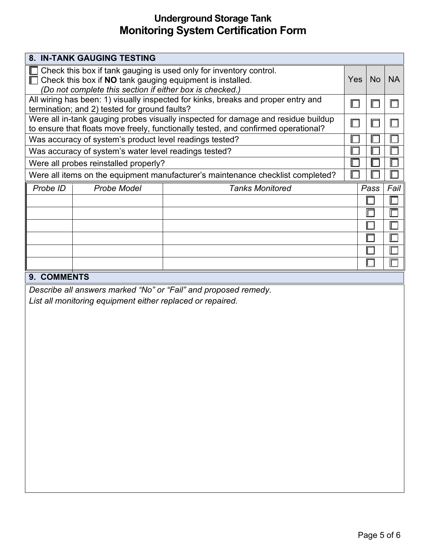| 8. IN-TANK GAUGING TESTING                                                                                                                                                                  |                                                                                      |                                                                 |  |           |           |
|---------------------------------------------------------------------------------------------------------------------------------------------------------------------------------------------|--------------------------------------------------------------------------------------|-----------------------------------------------------------------|--|-----------|-----------|
| Check this box if tank gauging is used only for inventory control.<br>Check this box if NO tank gauging equipment is installed.<br>(Do not complete this section if either box is checked.) |                                                                                      |                                                                 |  | <b>No</b> | <b>NA</b> |
| All wiring has been: 1) visually inspected for kinks, breaks and proper entry and<br>termination; and 2) tested for ground faults?                                                          |                                                                                      |                                                                 |  | Ш         | $\Box$    |
| Were all in-tank gauging probes visually inspected for damage and residue buildup<br>to ensure that floats move freely, functionally tested, and confirmed operational?                     |                                                                                      |                                                                 |  |           | Г         |
| Was accuracy of system's product level readings tested?                                                                                                                                     |                                                                                      |                                                                 |  |           | Ш         |
| Was accuracy of system's water level readings tested?                                                                                                                                       |                                                                                      |                                                                 |  |           | Γ         |
| Were all probes reinstalled properly?                                                                                                                                                       |                                                                                      |                                                                 |  |           |           |
| Were all items on the equipment manufacturer's maintenance checklist completed?                                                                                                             |                                                                                      |                                                                 |  |           | E         |
| Probe ID                                                                                                                                                                                    | <b>Probe Model</b>                                                                   | <b>Tanks Monitored</b>                                          |  | Pass      | Fail      |
|                                                                                                                                                                                             |                                                                                      |                                                                 |  |           |           |
|                                                                                                                                                                                             |                                                                                      |                                                                 |  |           |           |
|                                                                                                                                                                                             |                                                                                      |                                                                 |  |           |           |
|                                                                                                                                                                                             |                                                                                      |                                                                 |  |           |           |
|                                                                                                                                                                                             |                                                                                      |                                                                 |  |           | Γ         |
|                                                                                                                                                                                             |                                                                                      |                                                                 |  |           |           |
| 9. COMMENTS                                                                                                                                                                                 |                                                                                      |                                                                 |  |           |           |
|                                                                                                                                                                                             | المتوجبة والمتواصف المتوارق والمتوسط والمتواطئ والمستورة والمتحدث والمستحدث والمناقص | Describe all answers marked "No" or "Fail" and proposed remedy. |  |           |           |

*List all monitoring equipment either replaced or repaired.*